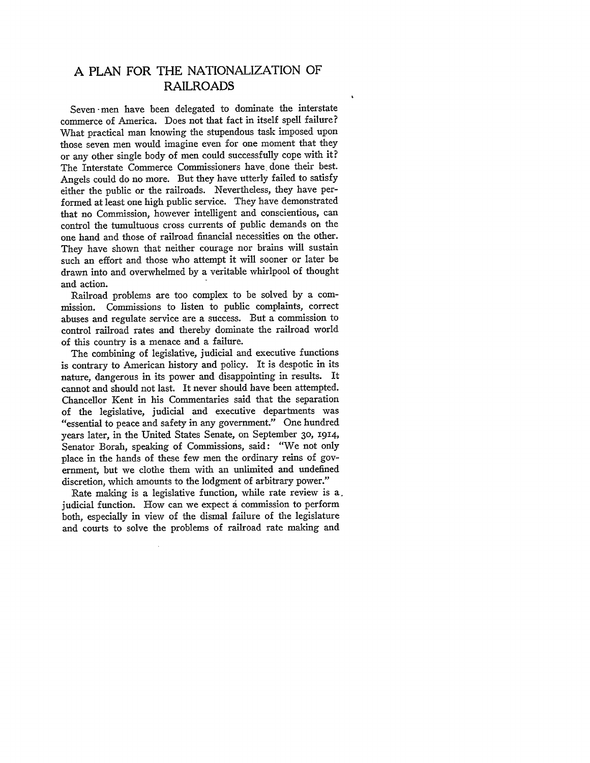## A PLAN FOR THE NATIONALIZATION OF RAILROADS

Seven -men have been delegated to dominate the interstate commerce of America. Does not that fact in itself spell failure? What practical man knowing the stupendous task imposed upon those seven men would imagine even for one moment that they or any other single body of men could successfully cope with it? The Interstate Commerce Commissioners have done their best. Angels could do no more. But they have utterly failed to satisfy either the public or the railroads. Nevertheless, they have performed at least one high public service. They have demonstrated that no Commission, however intelligent and conscientious, can control the tumultuous cross currents of public demands on the one hand and those of railroad financial necessities on the other. They have shown that neither courage nor brains will sustain such an effort and those who attempt it will sooner or later be drawn into and overwhelmed by a veritable whirlpool of thought and action.

Railroad problems are too complex to be solved by a commission. Commissions to listen to public complaints, correct abuses and regulate service are a success. But a commission to control railroad rates and thereby dominate the railroad world of this country is a menace and a failure.

The combining of legislative, judicial and executive functions is contrary to American history and policy. It is despotic in its nature, dangerous in its power and disappointing in results. It cannot and should not last. It never should have been attempted. Chancellor Kent in his Commentaries said that the separation of the legislative, judicial and executive departments was "essential to peace and safety in any government." One hundred years later, in the United States Senate, on September 3o, **1914,** Senator Borah, speaking of Commissions, said: "We not only place in the hands of these few men the ordinary reins of government, but we clothe them with an unlimited and undefined discretion, which amounts to the lodgment of arbitrary power."

Rate making is a legislative function, while rate review is a. judicial function. How can we expect a commission to perform both, especially in view of the dismal failure of the legislature and courts to solve the problems of railroad rate making and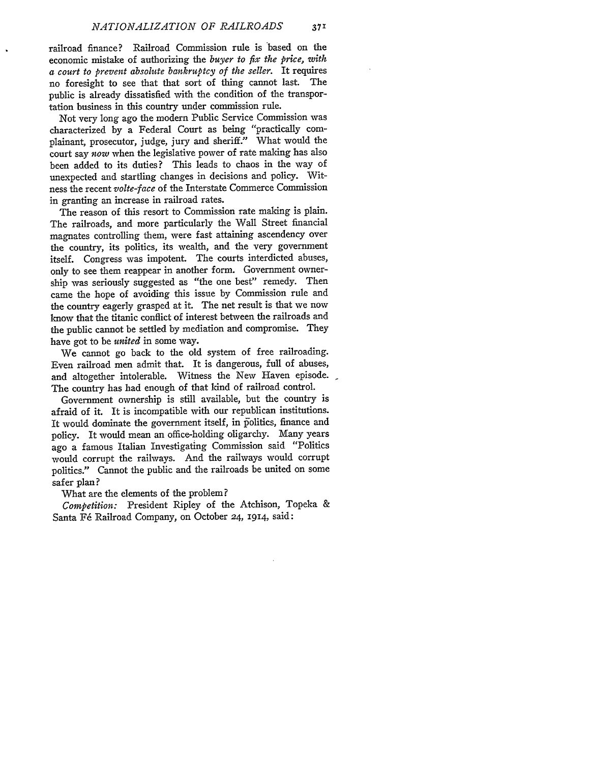railroad finance? Railroad Commission rule is based on the economic mistake of authorizing the *buyer to* fix *the price, with a court to prevent absolute bankruptcy of the seller.* It requires no foresight to see that that sort of thing cannot last. The public is already dissatisfied with the condition of the transportation business in this country under commission rule.

Not very long ago the modern Public Service Commission was characterized by a Federal Court as being "practically complainant, prosecutor, judge, jury and sheriff." What would the court say *now* when the legislative power of rate making has also been added to its duties? This leads to chaos in the way of unexpected and startling changes in decisions and policy. Witness the recent *volte-face* of the Interstate Commerce Commission in granting an increase in railroad rates.

The reason of this resort to Commission rate making is plain. The railroads, and more particularly the Wall Street financial magnates controlling them, were fast attaining ascendency over the country, its politics, its wealth, and the very government itself. Congress was impotent. The courts interdicted abuses, only to see them reappear in another form. Government ownership was seriously suggested as "the one best" remedy. Then came the hope of avoiding this issue by Commission rule and the country eagerly grasped at it. The net result is that we now know that the titanic conflict of interest between the railroads and the public cannot be settled by mediation and compromise. They have got to be *united* in some way.

We cannot go back to the old system of free railroading. Even railroad men admit that. It is dangerous, full of abuses, and altogether intolerable. Witness the New Haven episode. The country has had enough of that kind of railroad control.

Government ownership is still available, but the country is afraid of it. It is incompatible with our republican institutions. It would dominate the government itself, in politics, finance and policy. It would mean an office-holding oligarchy. Many years ago a famous Italian Investigating Commission said "Politics would corrupt the railways. And the railways would corrupt politics." Cannot the public and the railroads be united on some safer plan?

What are the elements of the problem?

*Competition:* President Ripley of the Atchison, Topeka & Santa **F6** Railroad Company, on October 24, **1914,** said: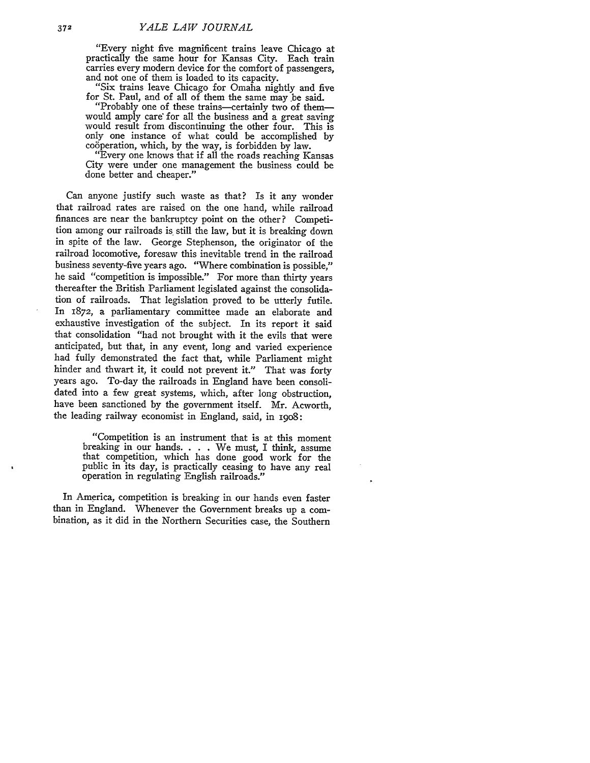"Every night five magnificent trains leave Chicago at practically the same hour for Kansas City. Each train carries every modern device for the comfort of passengers, and not one of them is loaded to its capacity. "Six trains leave Chicago for Omaha nightly and five

for St. Paul, and of all of them the same may be said.

"Probably one of these trains-certainly two of themwould amply care" for all the business and a great saving would result from discontinuing the other four. This is only one instance of what could be accomplished by  $co<sup>o</sup>$  peration, which, by the way, is forbidden by law.

"Every one knows that if all the roads reaching Kansas City were under one management the business could be done better and cheaper."

Can anyone justify such waste as that? Is it any wonder that railroad rates are raised on the one hand, while railroad finances are near the bankruptcy point on the other? Competition among our railroads is still the law, but it is breaking down in spite of the law. George Stephenson, the originator of the railroad locomotive, foresaw this inevitable trend in the railroad business seventy-five years ago. "Where combination is possible," he said "competition is impossible." For more than thirty years thereafter the British Parliament legislated against the consolidation of railroads. That legislation proved to be utterly futile. In 1872, a parliamentary committee made an elaborate and exhaustive investigation of the subject. In its report it said that consolidation "had not brought with it the evils that were anticipated, but that, in any event, long and varied experience had fully demonstrated the fact that, while Parliament might hinder and thwart it, it could not prevent it." That was forty years ago. To-day the railroads in England have been consolidated into a few great systems, which, after long obstruction, have been sanctioned by the government itself. Mr. Acworth, the leading railway economist in England, said, in 19o8:

> "Competition is an instrument that is at this moment breaking in our hands. . **.** . We must, I think, assume that competition, which has done good work for the public in its day, is practically ceasing to have any real operation in regulating English railroads."

In America, competition is breaking in our hands even faster than in England. Whenever the Government breaks up a combination, as it did in the Northern Securities case, the Southern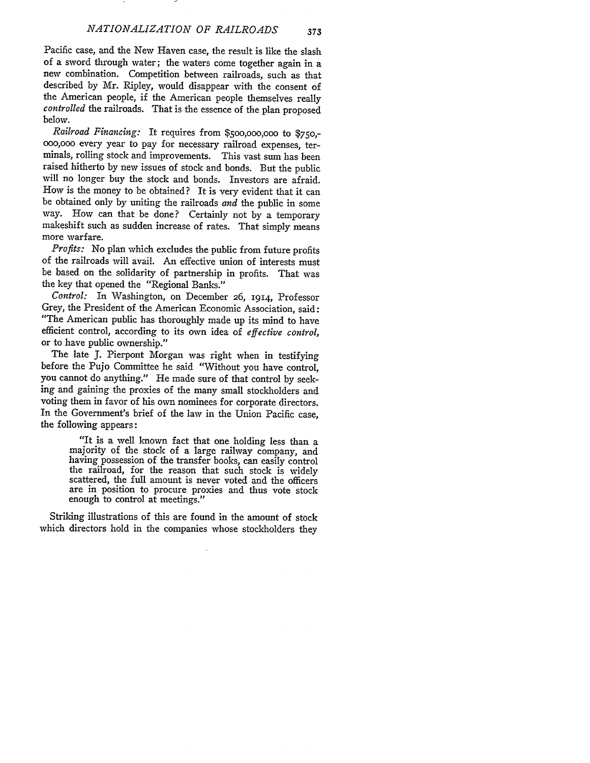Pacific case, and the New Haven case, the result is like the slash of a sword through water; the waters come together again in a new combination. Competition between railroads, such as that described by Mr. Ripley, would disappear with the consent of the American people, if the American people themselves really *controlled* the railroads. That is the essence of the plan proposed below.

*Railroad Financing:* It requires from \$500,ooo,ooo to *\$750,* ooo,ooo every year to pay for necessary railroad expenses, terminals, rolling stock and improvements. This vast sum has been raised hitherto by new issues of stock and bonds. But the public will no longer buy the stock and bonds. Investors are afraid. How is the money to be obtained? It is very evident that it can be obtained only by uniting the railroads *and* the public in some way. How can that be done? Certainly not by a temporary makeshift such as sudden increase of rates. That simply means more warfare.

*Profits:* No plan which excludes the public from future profits of the railroads will avail. An effective union of interests must be based on the solidarity of partnership in profits. That was the key that opened the "Regional Banks."

*Control:* In Washington, on December *26,* 1914, Professor Grey, the President of the American Economic Association, said: "The American public has thoroughly made up its mind to have efficient control, according to its own idea of *effective control,* or to have public ownership."

The late J. Pierpont Morgan was right when in testifying before the Pujo Committee he said "Without you have control, you cannot do anything." He made sure of that control by seeking and gaining the proxies of the many small stockholders and voting them in favor of his own nominees for corporate directors. In the Government's brief of the law in the Union Pacific case, the following appears:

> "It is a well known fact that one holding less than a majority of the stock of a large railway company, and having possession of the transfer books, can easily control the railroad, for the reason that such stock is widely scattered, the full amount is never voted and the officers are in position to procure proxies and thus vote stock enough to control at meetings."

Striking illustrations of this are found in the amount of stock which directors hold in the companies whose stockholders they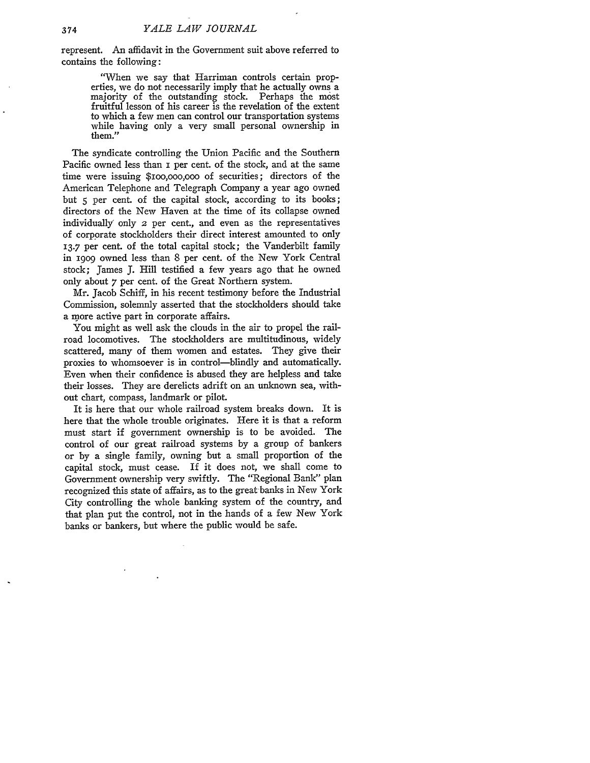represent. An affidavit in the Government suit above referred to contains the following:

> "When we say that Harriman controls certain properties, we do not necessarily imply that he actually owns a majority of the outstanding stock. Perhaps the most fruitful lesson of his career is the revelation of the extent to which a few men can control our transportation systems while having only a very small personal ownership in them."

The syndicate controlling the Union Pacific and the Southern Pacific owned less than i per cent. of the stock, and at the same time were issuing \$100,000,000 of securities; directors of the American Telephone and Telegraph Company a year ago owned but 5 per cent. of the capital stock, according to its books; directors of the New Haven at the time of its collapse owned individually only 2 per cent., and even as the representatives of corporate stockholders their direct interest amounted to only 13.7 per cent. of the total capital stock; the Vanderbilt family in **19o9** owned less than 8 per cent. of the New York Central stock; James **J.** Hill testified a few years ago that he owned only about 7 per cent. of the Great Northern system.

Mr. Jacob Schiff, in his recent testimony before the Industrial Commission, solemnly asserted that the stockholders should take a more active part in corporate affairs.

You might as well ask the clouds in the air to propel the railroad locomotives. The stockholders are multitudinous, widely scattered, many of them women and estates. They give their proxies to whomsoever is in control-blindly and automatically. Even when their confidence is abused they are helpless and take their losses. They are derelicts adrift on an unknown sea, without chart, compass, landmark or pilot.

It is here that our whole railroad system breaks down. It is here that the whole trouble originates. Here it is that a reform must start if government ownership is to be avoided. The control of our great railroad systems **by** a group of bankers or **by** a single family, owning but a small proportion of the capital stock, must cease. If it does not, we shall come to Government ownership very swiftly. The "Regional Bank" plan recognized this state of affairs, as to the great-banks in New York City controlling the whole banking system of the country, and that plan put the control, not in the hands of a few New York banks or bankers, but where the public would be safe.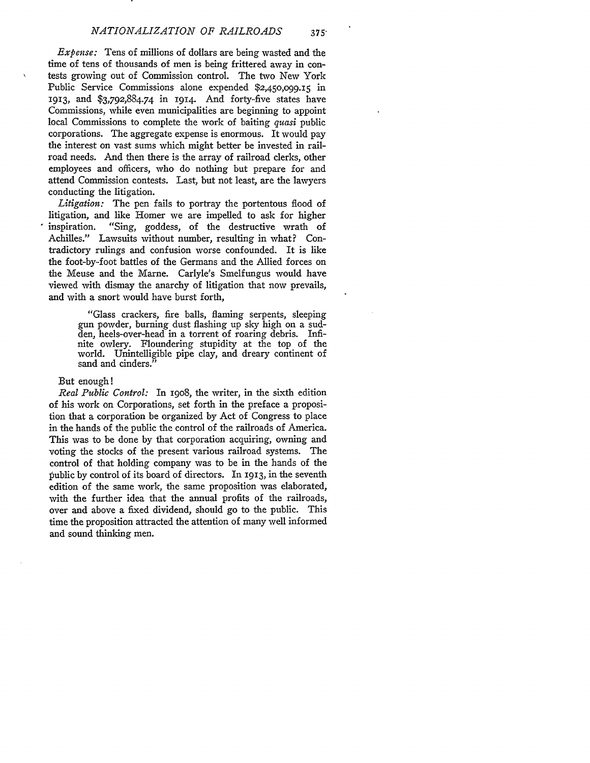*Expense:* Tens of millions of dollars are being wasted and the time of tens of thousands of men is being frittered away in contests growing out of Commission control. The two New York Public Service Commissions alone expended \$2,45o,o99.15 in 1913, and \$3,792,884.74 in **1914.** And forty-five states have Commissions, while even municipalities are beginning to appoint local Commissions to complete the work of baiting *quasi* public corporations. The aggregate expense is enormous. It would pay the interest on vast sums which might better be invested in railroad needs. And then there is the array of railroad clerks, other employees and officers, who do nothing but prepare for and attend Commission contests. Last, but not least, are the lawyers conducting the litigation.

*Litigation:* The pen fails to portray the portentous flood of litigation, and like Homer we are impelled to ask for higher inspiration. "Sing, goddess, of the destructive wrath of Achilles." Lawsuits without number, resulting in what? Contradictory rulings and confusion worse confounded. It is like the foot-by-foot battles of the Germans and the Allied forces on the Meuse and the Marne. Carlyle's Smelfungus would have viewed with dismay the anarchy of litigation that now prevails, and with a snort would have burst forth,

> "Glass crackers, fire balls, flaming serpents, sleeping gun powder, burning dust flashing up sky high on a sudden, heels-over-head in a torrent of roaring debris. Infinite owlery. Floundering stupidity at the top of the world. Unintelligible pipe clay, and dreary continent of sand and cinders."

## But enough!

*Real Public Control:* In 19o8, the writer, in the sixth edition of his work on Corporations, set forth in the preface a proposition that a corporation be organized by Act of Congress to place in the hands of the public the control of the railroads of America. This was to be done by that corporation acquiring, owning and voting the stocks of the present various railroad systems. The control of that holding company was to be in the hands of the public by control of its board of directors. In 1913, in the seventh edition of the same work, the same proposition was elaborated, with the further idea that the annual profits of the railroads, over and above a fixed dividend, should go to the public. This time the proposition attracted the attention of many well informed and sound thinking men.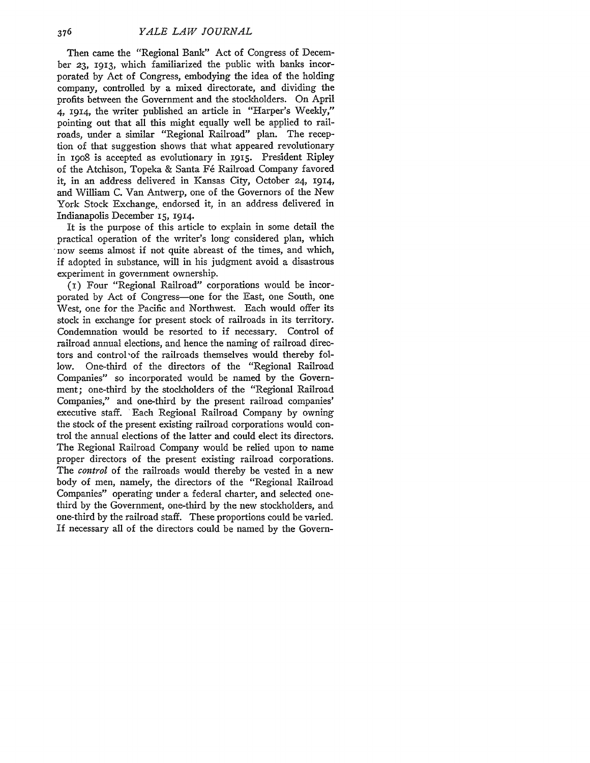Then came the "Regional Bank" Act of Congress of December **23,** 1913, which familiarized the public with banks incorporated by Act of Congress, embodying the idea of the holding company, controlled by a mixed directorate, and dividing the profits between the Government and the stockholders. On April 4, 1914, the writer published an article in "Harper's Weekly," pointing out that all this might equally well be applied to railroads, under a similar "Regional Railroad" plan. The reception of that suggestion shows that what appeared revolutionary in 19o8 is accepted as evolutionary in **1915.** President Ripley of the Atchison, Topeka & Santa **F6** Railroad Company favored it, in an address delivered in Kansas City, October 24, 1914, and William C. Van Antwerp, one of the Governors of the New York Stock Exchange, endorsed it, in an address delivered in Indianapolis December **15,** 1914.

It is the purpose of this article to explain in some detail the practical operation of the writer's long considered plan, which now seems almost if not quite abreast of the times, and which, if adopted in substance, will in his judgment avoid a disastrous experiment in government ownership.

(i) Four "Regional Railroad" corporations would be incorporated by Act of Congress-one for the East, one South, one West, one for the Pacific and Northwest. Each would offer its stock in exchange for present stock of railroads in its territory. Condemnation would be resorted to if necessary. Control of railroad annual elections, and hence the naming of railroad directors and control'of the railroads themselves would thereby follow. One-third of the directors of the "Regional Railroad Companies" so incorporated would be named by the Government; one-third by the stockholders of the "Regional Railroad Companies," and one-third by the present railroad companies' executive staff. Each Regional Railroad Company by owning the stock of the present existing railroad corporations would control the annual elections of the latter and could elect its directors. The Regional Railroad Company would be relied upon to name proper directors of the present existing railroad corporations. The *control* of the railroads would thereby be vested in a new body of men, namely, the directors of the "Regional Railroad Companies" operating under a federal charter, and selected onethird by the Government, one-third by the new stockholders, and one-third by the railroad staff. These proportions could be varied. If necessary all of the directors could be named by the Govern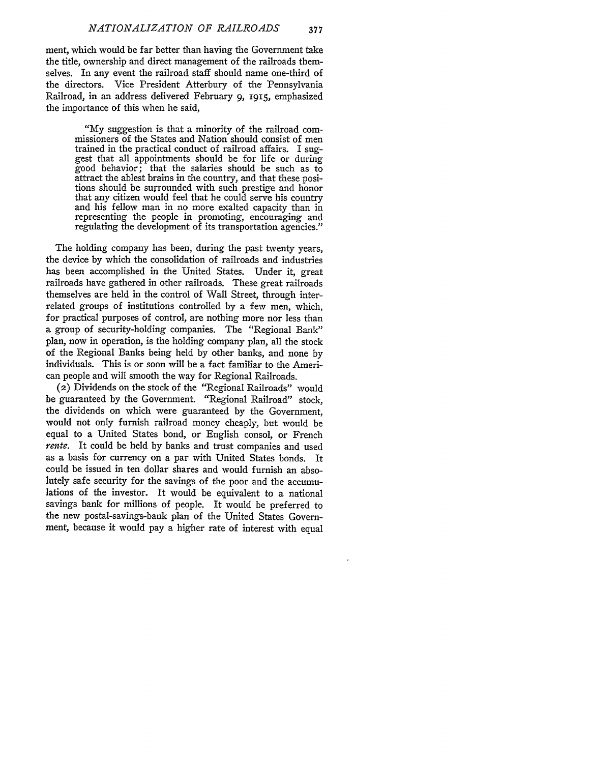ment, which would be far better than having the Government take the title, ownership and direct management of the railroads themselves. In any event the railroad staff should name one-third of the directors. Vice President Atterbury of the Pennsylvania Railroad, in an address delivered February 9, 1915, emphasized the importance of this when he said,

> "My suggestion is that a minority of the railroad commissioners of the States and Nation should consist of men trained in the practical conduct of railroad affairs. I suggest that all appointments should be for life or during good behavior; that the salaries should be such as to attract the ablest brains in the country, and that these positions should be surrounded with such prestige and honor that any citizen would feel that he could serve his country and his fellow man in no more exalted capacity than in representing the people in promoting, encouraging and regulating the development of its transportation agencies."

The holding company has been, during the past twenty years, the device by which the consolidation of railroads and industries has been accomplished in the United States. Under it, great railroads have gathered in other railroads. These great railroads themselves are held in the control of Wall Street, through interrelated groups of institutions controlled by a few men, which, for practical purposes of control, are nothing more nor less than a group of security-holding companies. The "Regional Bank" plan, now in operation, is the holding company plan, all the stock of the Regional Banks being held by other banks, and none by individuals. This is or soon will be a fact familiar to the American people and will smooth the way for Regional Railroads.

(2) Dividends on the stock of the "Regional Railroads" would be guaranteed by the Government. "Regional Railroad" stock, the dividends on which were guaranteed by the Government, would not only furnish railroad money cheaply, but would be equal to a United States bond, or English consol, or French rente. It could be held by banks and trust companies and used as a basis for currency on a par with United States bonds. It could be issued in ten dollar shares and would furnish an absolutely safe security for the savings of the poor and the accumulations of the investor. It would be equivalent to a national savings bank for millions of people. It would be preferred to the new postal-savings-bank plan of the United States Government, because it would pay a higher rate of interest with equal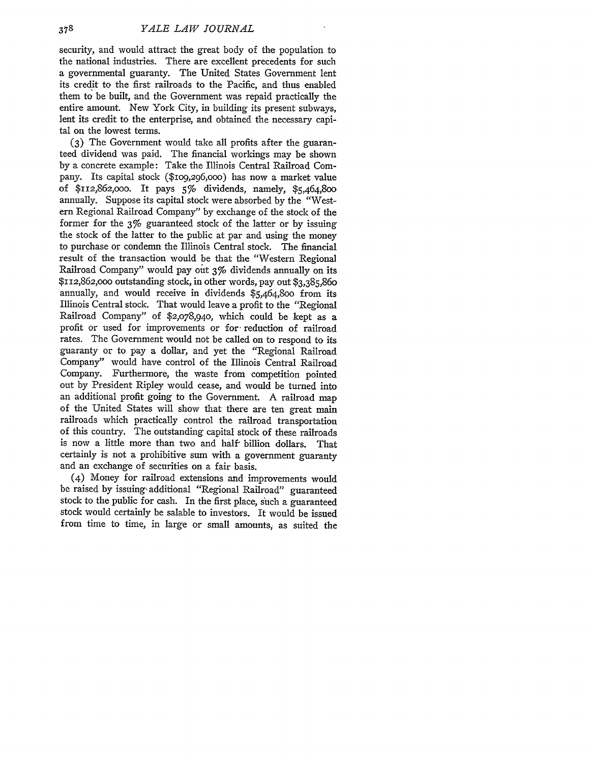security, and would attract the great body of the population to the national industries. There are excellent precedents for such a governmental guaranty. The United States Government lent its credit to the first railroads to the Pacific, and thus enabled them to be built, and the Government was repaid practically the entire amount. New York City, in building its present subways, lent its credit to the enterprise, and obtained the necessary capital on the lowest terms.

(3) The Government would take all profits after the guaranteed dividend was paid. The financial workings may be shown by a concrete example: Take the Illinois Central Railroad Company. Its capital stock (\$1o9,296,ooo) has now a market value of \$112,862,ooo. It pays 5% dividends, namely, \$5,464,8o0 annually. Suppose its capital stock were absorbed by the "Western Regional Railroad Company" by exchange of the stock of the former for the 3% guaranteed stock of the latter or by issuing the stock of the latter to the public at par and using the money to purchase or condemn the Illinois Central stock. The financial result of the transaction would be that the "Western Regional Railroad Company" would pay out 3% dividends annually on its \$112,862,000 outstanding stock, in other words, pay out \$3,385,86o annually, and would receive in dividends \$5,464,Soo from its Illinois Central stock. That would leave a profit to the "Regional Railroad Company" of **\$2,078,940,** which could be kept as a profit or used for improvements or for- reduction of railroad rates. The Government would not be called on to respond to its guaranty or to pay a dollar, and yet the "Regional Railroad Company" would have control of the Illinois Central Railroad Company. Furthermore, the waste from competition pointed out by President Ripley would cease, and would be turned into an additional profit going to the Government. A railroad map of the United States will show that there are ten great main railroads which practically control the railroad transportation of this country. The outstanding capital stock of these railroads is now a little more than two and half- billion dollars. That certainly is not a prohibitive sum with a government guaranty and an exchange of securities on a fair basis.

(4) Money for railroad extensions and improvements would be raised by issuing additional "Regional Railroad" guaranteed stock to the public for cash. In the first place, such a guaranteed stock would certainly be salable to investors. It would be issued from time to time, in large or small amounts, as suited the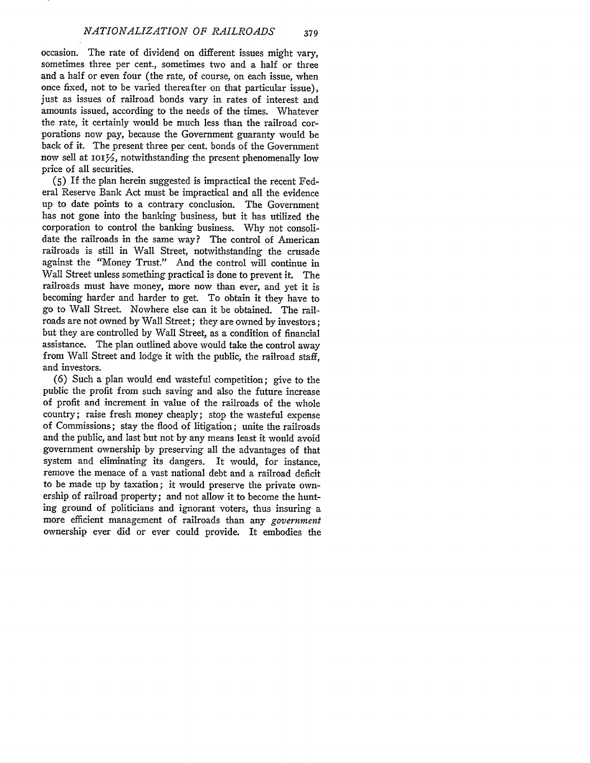occasion. The rate of dividend on different issues might vary, sometimes three per cent., sometimes two and a half or three and a half or even four (the rate, of course, on each issue, when once fixed, not to be varied thereafter on that particular issue), just as issues of railroad bonds vary in rates of interest and amounts issued, according to the needs of the times. Whatever the rate, it certainly would be much less than the railroad corporations now pay, because the Government guaranty would be back of it. The present three per cent. bonds of the Government now sell at  $101\frac{1}{2}$ , notwithstanding the present phenomenally low price of all securities.

(5) If the plan herein suggested is impractical the recent Federal Reserve Bank Act must be impractical and all the evidence up to date points to a contrary conclusion. The Government has not gone into the banking business, but it has utilized the corporation to control the banking business. Why not consolidate the railroads in the same way? The control of American railroads is still in Wall Street, notwithstanding the crusade against the "Money Trust." And the control will continue in Wall Street unless something practical is done to prevent it. The railroads must have money, more now than ever, and yet it is becoming harder and harder to get. To obtain it they have to go to Wall Street. Nowhere else can it be obtained. The railroads are not owned by Wall Street; they are owned by investors; but they are controlled by Wall Street, as a condition of financial assistance. The plan outlined above would take the control away from Wall Street and lodge it with the public, the railroad staff, and investors.

(6) Such a plan would end wasteful competition; give to the public the profit from such saving and also the future increase of profit and increment in value of the railroads of the whole country; raise fresh money cheaply; stop the wasteful expense of Commissions; stay the flood of litigation; unite the railroads and the public, and last but not by any means least it would avoid government ownership by preserving all the advantages of that system and eliminating its dangers. It would, for instance, remove the menace of a vast national debt and a railroad deficit to be made up by taxation; it would preserve the private ownership of railroad property; and not allow it to become the hunting ground of politicians and ignorant voters, thus insuring a more efficient management of railroads than any *government* ownership ever did or ever could provide. It embodies the